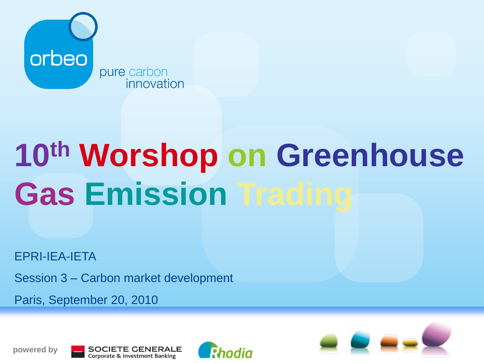

# **10th Worshop on Greenhouse Gas Emission Trading**

EPRI-IEA-IETA

Session 3 – Carbon market development

Paris, September 20, 2010







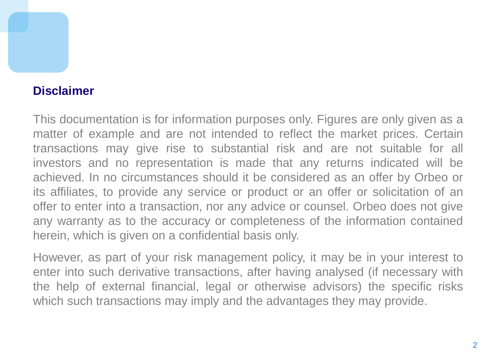#### **Disclaimer**

This documentation is for information purposes only. Figures are only given as a matter of example and are not intended to reflect the market prices. Certain transactions may give rise to substantial risk and are not suitable for all investors and no representation is made that any returns indicated will be achieved. In no circumstances should it be considered as an offer by Orbeo or its affiliates, to provide any service or product or an offer or solicitation of an offer to enter into a transaction, nor any advice or counsel. Orbeo does not give any warranty as to the accuracy or completeness of the information contained herein, which is given on a confidential basis only.

However, as part of your risk management policy, it may be in your interest to enter into such derivative transactions, after having analysed (if necessary with the help of external financial, legal or otherwise advisors) the specific risks which such transactions may imply and the advantages they may provide.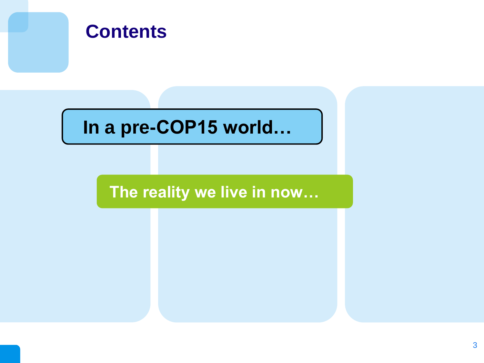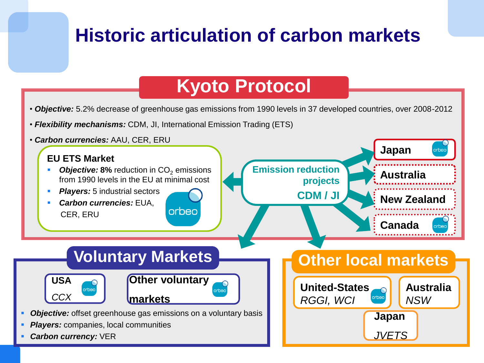### **Historic articulation of carbon markets**

#### **Kyoto Protocol**

• *Objective:* 5.2% decrease of greenhouse gas emissions from 1990 levels in 37 developed countries, over 2008-2012

- *Flexibility mechanisms:* CDM, JI, International Emission Trading (ETS)
- *Carbon currencies:* AAU, CER, ERU

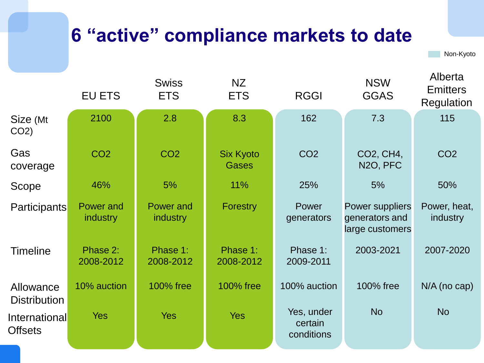## **6 "active" compliance markets to date**

Non-Kyoto

|                                  | <b>EU ETS</b>                | <b>Swiss</b><br><b>ETS</b>   | NZ<br><b>ETS</b>                 | <b>RGGI</b>                         | <b>NSW</b><br><b>GGAS</b>                                   | <b>Emitters</b><br>Regulation |
|----------------------------------|------------------------------|------------------------------|----------------------------------|-------------------------------------|-------------------------------------------------------------|-------------------------------|
| Size (Mt<br>$CO2$ )              | 2100                         | 2.8                          | 8.3                              | 162                                 | 7.3                                                         | 115                           |
| Gas<br>coverage                  | CO <sub>2</sub>              | CO <sub>2</sub>              | <b>Six Kyoto</b><br><b>Gases</b> | CO <sub>2</sub>                     | CO2, CH4,<br>N <sub>2</sub> O, PFC                          | CO <sub>2</sub>               |
| Scope                            | 46%                          | 5%                           | 11%                              | 25%                                 | 5%                                                          | 50%                           |
| Participants                     | Power and<br><i>industry</i> | Power and<br><i>industry</i> | Forestry                         | Power<br>generators                 | <b>Power suppliers</b><br>generators and<br>large customers | Power, heat,<br>industry      |
| <b>Timeline</b>                  | Phase 2:<br>2008-2012        | Phase 1:<br>2008-2012        | Phase 1:<br>2008-2012            | Phase 1:<br>2009-2011               | 2003-2021                                                   | 2007-2020                     |
| Allowance<br><b>Distribution</b> | 10% auction                  | 100% free                    | <b>100% free</b>                 | 100% auction                        | 100% free                                                   | $N/A$ (no cap)                |
| International<br><b>Offsets</b>  | <b>Yes</b>                   | <b>Yes</b>                   | <b>Yes</b>                       | Yes, under<br>certain<br>conditions | <b>No</b>                                                   | <b>No</b>                     |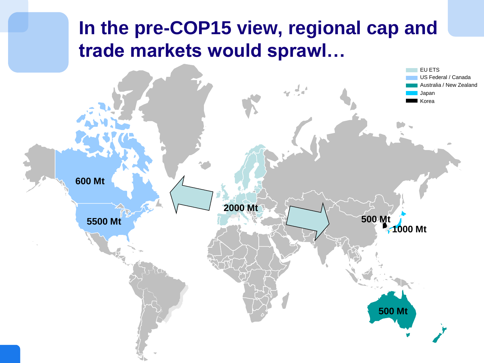### **In the pre-COP15 view, regional cap and trade markets would sprawl…**

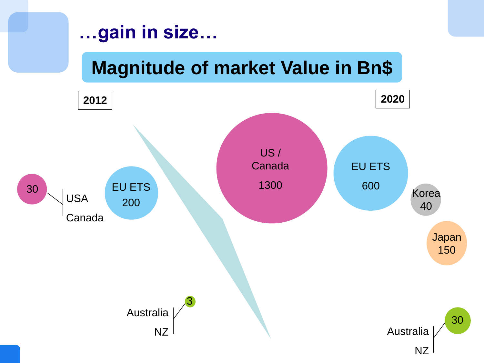#### **…gain in size…**

# **Magnitude of market Value in Bn\$**

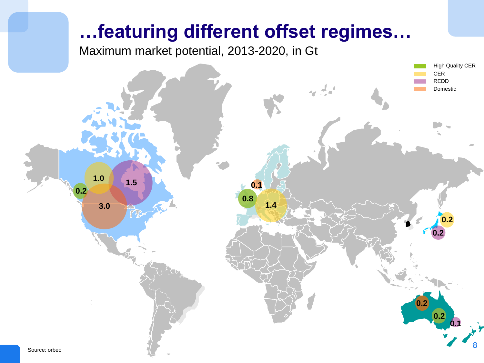#### **…featuring different offset regimes…**

Maximum market potential, 2013-2020, in Gt

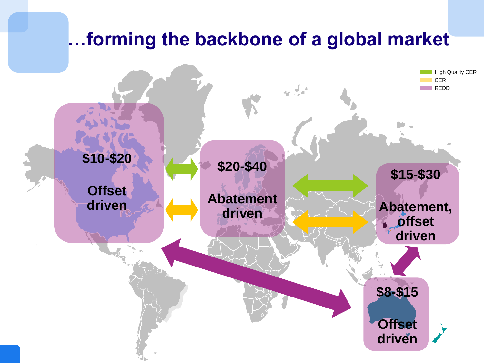#### **…forming the backbone of a global market**

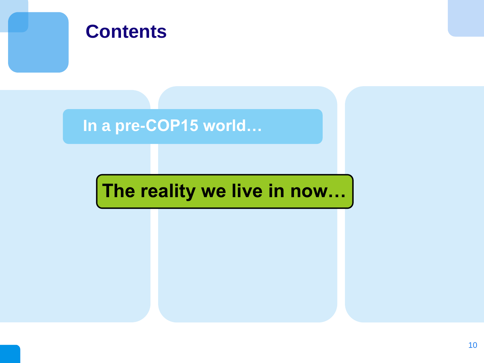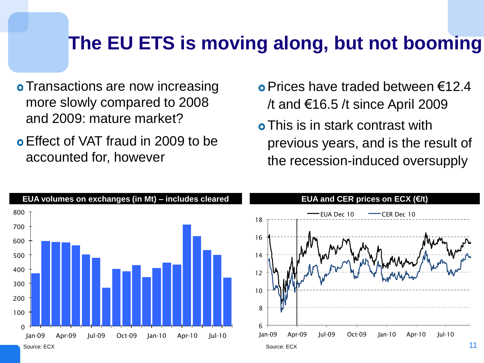#### **The EU ETS is moving along, but not booming**

- **o** Transactions are now increasing more slowly compared to 2008 and 2009: mature market?
- Effect of VAT fraud in 2009 to be accounted for, however
- Prices have traded between €12.4 /t and €16.5 /t since April 2009
- **o** This is in stark contrast with previous years, and is the result of the recession-induced oversupply

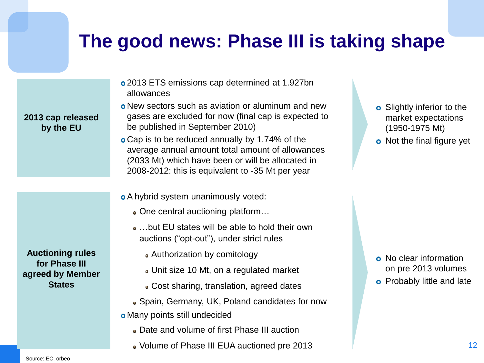#### **The good news: Phase III is taking shape**

- 2013 ETS emissions cap determined at 1.927bn allowances
- New sectors such as aviation or aluminum and new gases are excluded for now (final cap is expected to be published in September 2010)
- Cap is to be reduced annually by 1.74% of the average annual amount total amount of allowances (2033 Mt) which have been or will be allocated in 2008-2012: this is equivalent to -35 Mt per year
- A hybrid system unanimously voted:
	- One central auctioning platform…
	- …but EU states will be able to hold their own auctions ("opt-out"), under strict rules
		- Authorization by comitology
		- Unit size 10 Mt, on a regulated market
		- Cost sharing, translation, agreed dates
	- Spain, Germany, UK, Poland candidates for now
- Many points still undecided
	- Date and volume of first Phase III auction
	- Volume of Phase III EUA auctioned pre 2013
- **o** Slightly inferior to the market expectations (1950-1975 Mt)
- o Not the final figure yet

- o No clear information on pre 2013 volumes
- **o** Probably little and late

**Auctioning rules for Phase III agreed by Member States**

**2013 cap released by the EU**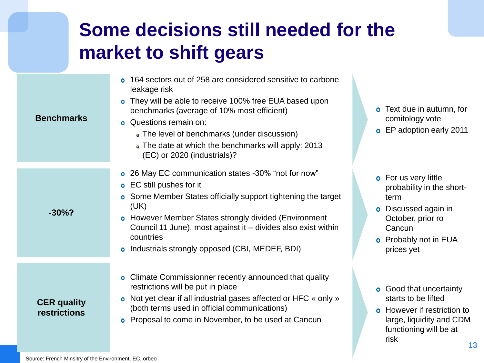# **Some decisions still needed for the market to shift gears**

| <b>Benchmarks</b>                         | 164 sectors out of 258 are considered sensitive to carbone<br>$\bullet$<br>leakage risk<br>o They will be able to receive 100% free EUA based upon<br>benchmarks (average of 10% most efficient)<br><b>o</b> Questions remain on:<br>• The level of benchmarks (under discussion)<br>• The date at which the benchmarks will apply: 2013<br>(EC) or 2020 (industrials)?             | Text due in autumn, for<br>$\bullet$<br>comitology vote<br><b>o</b> EP adoption early 2011                                                                          |
|-------------------------------------------|-------------------------------------------------------------------------------------------------------------------------------------------------------------------------------------------------------------------------------------------------------------------------------------------------------------------------------------------------------------------------------------|---------------------------------------------------------------------------------------------------------------------------------------------------------------------|
| $-30\%$ ?                                 | o 26 May EC communication states -30% "not for now"<br><b>o</b> EC still pushes for it<br><b>o</b> Some Member States officially support tightening the target<br>(UK)<br><b>o</b> However Member States strongly divided (Environment<br>Council 11 June), most against it – divides also exist within<br>countries<br>Industrials strongly opposed (CBI, MEDEF, BDI)<br>$\bullet$ | <b>o</b> For us very little<br>probability in the short-<br>term<br>Discussed again in<br>October, prior ro<br>Cancun<br><b>o</b> Probably not in EUA<br>prices yet |
| <b>CER</b> quality<br><b>restrictions</b> | Climate Commissionner recently announced that quality<br>$\bullet$<br>restrictions will be put in place<br>Not yet clear if all industrial gases affected or HFC « only »<br>$\bullet$<br>(both terms used in official communications)<br>Proposal to come in November, to be used at Cancun<br>$\bullet$                                                                           | <b>o</b> Good that uncertainty<br>starts to be lifted<br><b>o</b> However if restriction to<br>large, liquidity and CDM<br>functioning will be at                   |

risk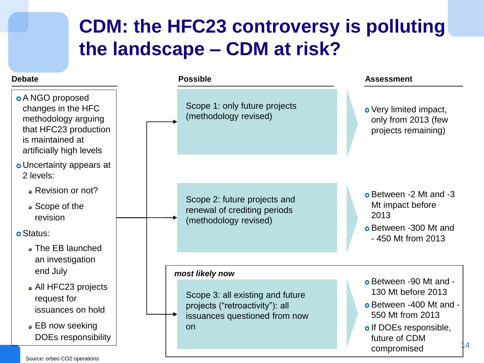#### **CDM: the HFC23 controversy is polluting the landscape – CDM at risk?**

#### **Debate**



14

Source: orbeo CO2 operations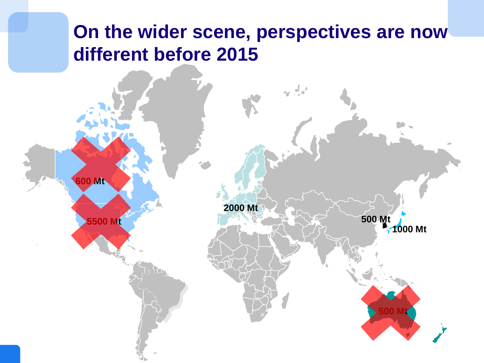#### **On the wider scene, perspectives are now different before 2015**

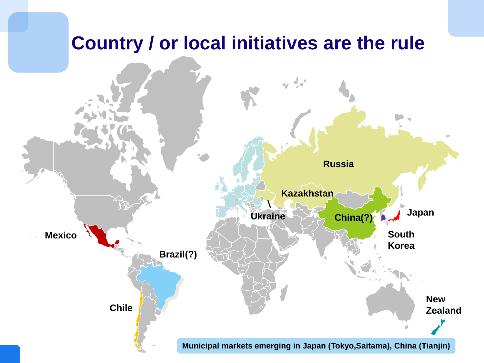#### **Country / or local initiatives are the rule**

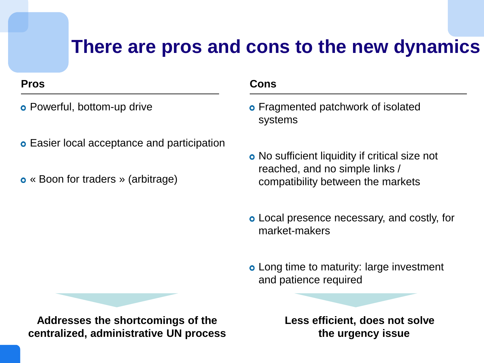#### **There are pros and cons to the new dynamics**

- **o** Powerful, bottom-up drive
- **o** Easier local acceptance and participation
- « Boon for traders » (arbitrage)

#### **Pros Cons**

- **o** Fragmented patchwork of isolated systems
- No sufficient liquidity if critical size not reached, and no simple links / compatibility between the markets
- Local presence necessary, and costly, for market-makers
- Long time to maturity: large investment and patience required

**Addresses the shortcomings of the centralized, administrative UN process** **Less efficient, does not solve the urgency issue**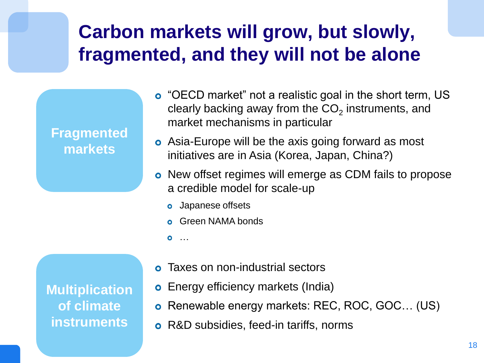## **Carbon markets will grow, but slowly, fragmented, and they will not be alone**



- "OECD market" not a realistic goal in the short term, US clearly backing away from the  $\mathsf{CO}_2$  instruments, and market mechanisms in particular
- **o** Asia-Europe will be the axis going forward as most initiatives are in Asia (Korea, Japan, China?)
- o New offset regimes will emerge as CDM fails to propose a credible model for scale-up
	- **o** Japanese offsets
	- **o** Green NAMA bonds
	- …

**Multiplication of climate instruments**

- Taxes on non-industrial sectors
- **o** Energy efficiency markets (India)
- Renewable energy markets: REC, ROC, GOC… (US)
- **o** R&D subsidies, feed-in tariffs, norms